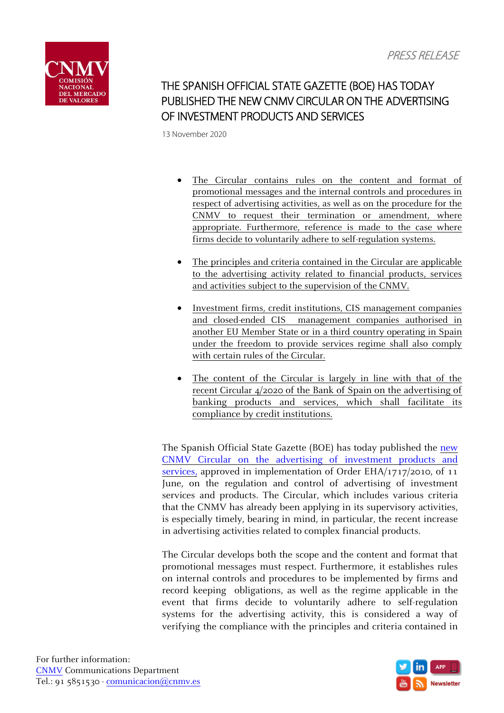

THE SPANISH OFFICIAL STATE GAZETTE (BOE) HAS TODAY PUBLISHED THE NEW CNMV CIRCULAR ON THE ADVERTISING OF INVESTMENT PRODUCTS AND SERVICES

13 November 2020

- The Circular contains rules on the content and format of promotional messages and the internal controls and procedures in respect of advertising activities, as well as on the procedure for the CNMV to request their termination or amendment, where appropriate. Furthermore, reference is made to the case where firms decide to voluntarily adhere to self-regulation systems.
- The principles and criteria contained in the Circular are applicable to the advertising activity related to financial products, services and activities subject to the supervision of the CNMV.
- Investment firms, credit institutions, CIS management companies and closed-ended CIS management companies authorised in another EU Member State or in a third country operating in Spain under the freedom to provide services regime shall also comply with certain rules of the Circular.
- The content of the Circular is largely in line with that of the recent Circular 4/2020 of the Bank of Spain on the advertising of banking products and services, which shall facilitate its compliance by credit institutions.

The Spanish Official State Gazette (BOE) has today published the [new](https://boe.es/boe/dias/2020/11/13/pdfs/BOE-A-2020-14107.pdf) CNMV Circular on the advertising of [investment](https://boe.es/boe/dias/2020/11/13/pdfs/BOE-A-2020-14107.pdf) products and [services,](https://boe.es/boe/dias/2020/11/13/pdfs/BOE-A-2020-14107.pdf) approved in implementation of Order EHA/1717/2010, of 11 June, on the regulation and control of advertising of investment services and products. The Circular, which includes various criteria that the CNMV has already been applying in its supervisory activities, is especially timely, bearing in mind, in particular, the recent increase in advertising activities related to complex financial products.

The Circular develops both the scope and the content and format that promotional messages must respect. Furthermore, it establishes rules on internal controls and procedures to be implemented by firms and record keeping obligations, as well as the regime applicable in the event that firms decide to voluntarily adhere to self-regulation systems for the advertising activity, this is considered a way of verifying the compliance with the principles and criteria contained in